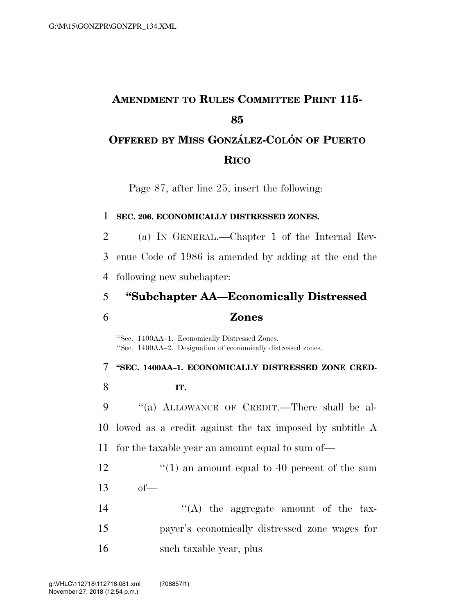# **AMENDMENT TO RULES COMMITTEE PRINT 115- 85 OFFERED BY MISS GONZA´ LEZ-COLO´ N OF PUERTO**

## **RICO**

Page 87, after line 25, insert the following:

#### 1 **SEC. 206. ECONOMICALLY DISTRESSED ZONES.**

2 (a) IN GENERAL.—Chapter 1 of the Internal Rev-3 enue Code of 1986 is amended by adding at the end the 4 following new subchapter:

5 **''Subchapter AA—Economically Distressed** 

### 6 **Zones**

''Sec. 1400AA–1. Economically Distressed Zones. ''Sec. 1400AA–2. Designation of economically distressed zones.

 **''SEC. 1400AA–1. ECONOMICALLY DISTRESSED ZONE CRED-**8 **IT.**  ''(a) ALLOWANCE OF CREDIT.—There shall be al- lowed as a credit against the tax imposed by subtitle A for the taxable year an amount equal to sum of—

12  $\frac{1}{2}$  (1) an amount equal to 40 percent of the sum 13 of—

14  $\langle (A)$  the aggregate amount of the tax-15 payer's economically distressed zone wages for 16 such taxable year, plus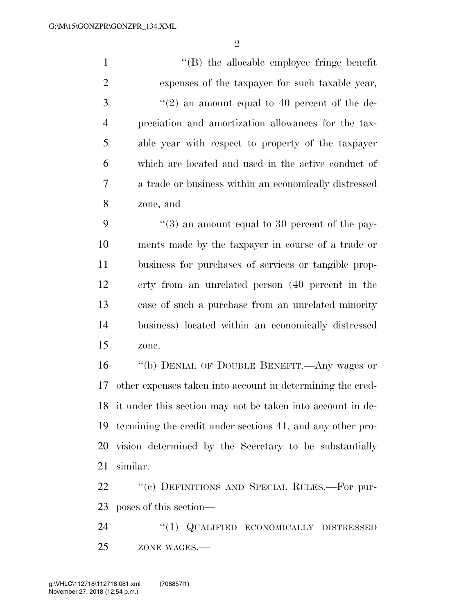$\mathfrak{D}$ 

 ''(B) the allocable employee fringe benefit expenses of the taxpayer for such taxable year, ''(2) an amount equal to 40 percent of the de- preciation and amortization allowances for the tax- able year with respect to property of the taxpayer which are located and used in the active conduct of a trade or business within an economically distressed zone, and  $\frac{4}{3}$  an amount equal to 30 percent of the pay- ments made by the taxpayer in course of a trade or business for purchases of services or tangible prop- erty from an unrelated person (40 percent in the case of such a purchase from an unrelated minority business) located within an economically distressed zone. ''(b) DENIAL OF DOUBLE BENEFIT.—Any wages or other expenses taken into account in determining the cred-it under this section may not be taken into account in de-

 termining the credit under sections 41, and any other pro- vision determined by the Secretary to be substantially similar.

22 " (c) DEFINITIONS AND SPECIAL RULES.—For pur-poses of this section—

24 "(1) QUALIFIED ECONOMICALLY DISTRESSED 25 ZONE WAGES.—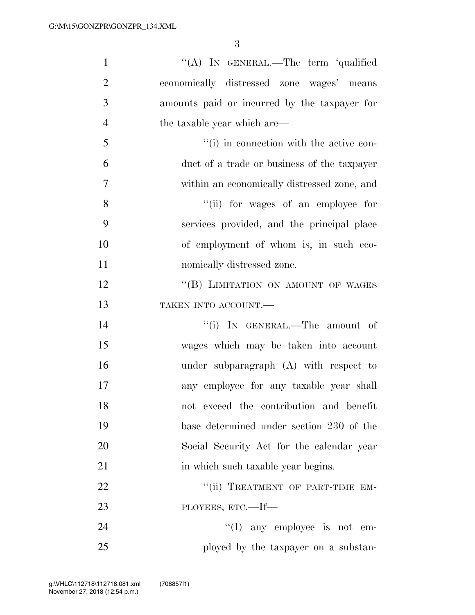| $\mathbf{1}$   | "(A) IN GENERAL.—The term 'qualified         |
|----------------|----------------------------------------------|
| $\overline{2}$ | economically distressed zone wages' means    |
| 3              | amounts paid or incurred by the taxpayer for |
| $\overline{4}$ | the taxable year which are—                  |
| 5              | "(i) in connection with the active con-      |
| 6              | duct of a trade or business of the taxpayer  |
| 7              | within an economically distressed zone, and  |
| 8              | "(ii) for wages of an employee for           |
| 9              | services provided, and the principal place   |
| 10             | of employment of whom is, in such eco-       |
| 11             | nomically distressed zone.                   |
| 12             | "(B) LIMITATION ON AMOUNT OF WAGES           |
| 13             | TAKEN INTO ACCOUNT.                          |
| 14             | "(i) IN GENERAL.—The amount of               |
| 15             | wages which may be taken into account        |
| 16             | under subparagraph $(A)$ with respect to     |
| 17             | any employee for any taxable year shall      |
| 18             | not exceed the contribution and benefit      |
| 19             | base determined under section 230 of the     |
| 20             | Social Security Act for the calendar year    |
| 21             | in which such taxable year begins.           |
| 22             | "(ii) TREATMENT OF PART-TIME EM-             |
| 23             | PLOYEES, ETC.—If—                            |
| 24             | $\lq\lq$ (I) any employee is not em-         |
| 25             | ployed by the taxpayer on a substan-         |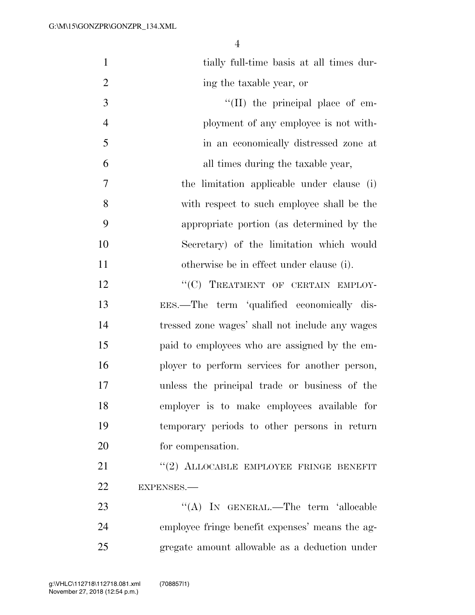| $\mathbf{1}$   | tially full-time basis at all times dur-        |
|----------------|-------------------------------------------------|
| $\overline{2}$ | ing the taxable year, or                        |
| 3              | $\lq\lq$ (II) the principal place of em-        |
| $\overline{4}$ | ployment of any employee is not with-           |
| 5              | in an economically distressed zone at           |
| 6              | all times during the taxable year,              |
| 7              | the limitation applicable under clause (i)      |
| 8              | with respect to such employee shall be the      |
| 9              | appropriate portion (as determined by the       |
| 10             | Secretary) of the limitation which would        |
| 11             | otherwise be in effect under clause (i).        |
| 12             | "(C) TREATMENT OF CERTAIN EMPLOY-               |
| 13             | EES.—The term 'qualified economically dis-      |
| 14             | tressed zone wages' shall not include any wages |
| 15             | paid to employees who are assigned by the em-   |
| 16             | ployer to perform services for another person,  |
| 17             | unless the principal trade or business of the   |
| 18             | employer is to make employees available for     |
| 19             | temporary periods to other persons in return    |
| 20             | for compensation.                               |
| 21             | "(2) ALLOCABLE EMPLOYEE FRINGE BENEFIT          |
| 22             | EXPENSES.-                                      |
| 23             | "(A) IN GENERAL.—The term 'allocable            |
| 24             | employee fringe benefit expenses' means the ag- |
| 25             | gregate amount allowable as a deduction under   |
|                |                                                 |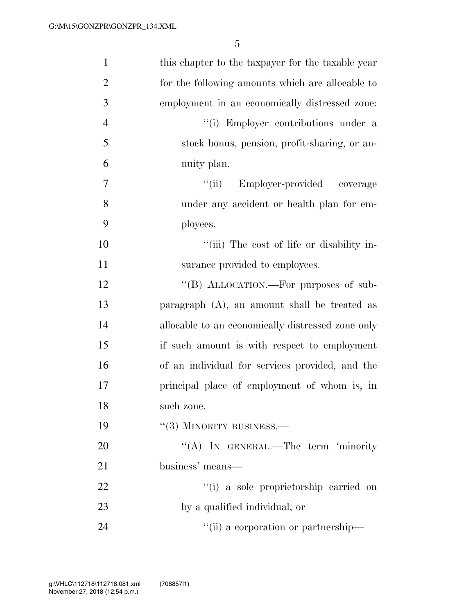| $\mathbf{1}$   | this chapter to the taxpayer for the taxable year |
|----------------|---------------------------------------------------|
| $\overline{2}$ | for the following amounts which are allocable to  |
| 3              | employment in an economically distressed zone:    |
| $\overline{4}$ | "(i) Employer contributions under a               |
| 5              | stock bonus, pension, profit-sharing, or an-      |
| 6              | nuity plan.                                       |
| 7              | "(ii) Employer-provided coverage                  |
| 8              | under any accident or health plan for em-         |
| 9              | ployees.                                          |
| 10             | "(iii) The cost of life or disability in-         |
| 11             | surance provided to employees.                    |
| 12             | "(B) ALLOCATION.—For purposes of sub-             |
| 13             | paragraph $(A)$ , an amount shall be treated as   |
| 14             | allocable to an economically distressed zone only |
| 15             | if such a mount is with respect to employment     |
| 16             | of an individual for services provided, and the   |
| 17             | principal place of employment of whom is, in      |
| 18             | such zone.                                        |
| 19             | $``(3)$ MINORITY BUSINESS.—                       |
| 20             | "(A) IN GENERAL.—The term 'minority               |
| 21             | business' means—                                  |
| 22             | "(i) a sole proprietorship carried on             |
| 23             | by a qualified individual, or                     |
| 24             | "(ii) a corporation or partnership—               |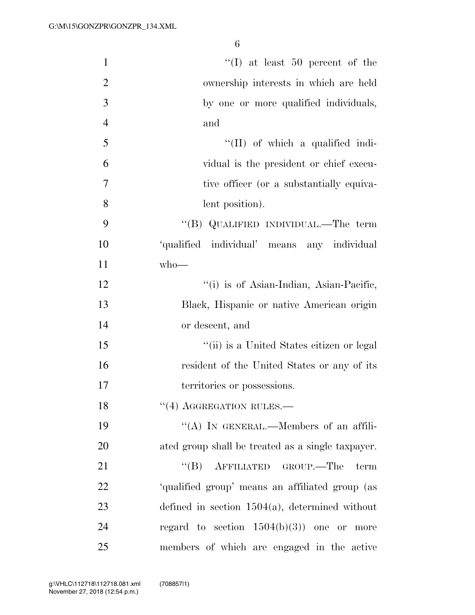| $\mathbf{1}$   | $\lq\lq$ (I) at least 50 percent of the           |
|----------------|---------------------------------------------------|
| $\overline{2}$ | ownership interests in which are held             |
| 3              | by one or more qualified individuals,             |
| $\overline{4}$ | and                                               |
| 5              | $\lq\lq$ (II) of which a qualified indi-          |
| 6              | vidual is the president or chief execu-           |
| $\overline{7}$ | tive officer (or a substantially equiva-          |
| 8              | lent position).                                   |
| 9              | "(B) QUALIFIED INDIVIDUAL.—The term               |
| 10             | 'qualified individual' means any individual       |
| 11             | $who$ —                                           |
| 12             | "(i) is of Asian-Indian, Asian-Pacific,           |
| 13             | Black, Hispanic or native American origin         |
| 14             | or descent, and                                   |
| 15             | "(ii) is a United States citizen or legal         |
| 16             | resident of the United States or any of its       |
| 17             | territories or possessions.                       |
| 18             | $``(4)$ AGGREGATION RULES.—                       |
| 19             | "(A) IN GENERAL.—Members of an affili-            |
| 20             | ated group shall be treated as a single taxpayer. |
| 21             | "(B) AFFILIATED GROUP.—The<br>term                |
| 22             | 'qualified group' means an affiliated group (as   |
| 23             | defined in section $1504(a)$ , determined without |
| 24             | regard to section $1504(b)(3)$ one or more        |
| 25             | members of which are engaged in the active        |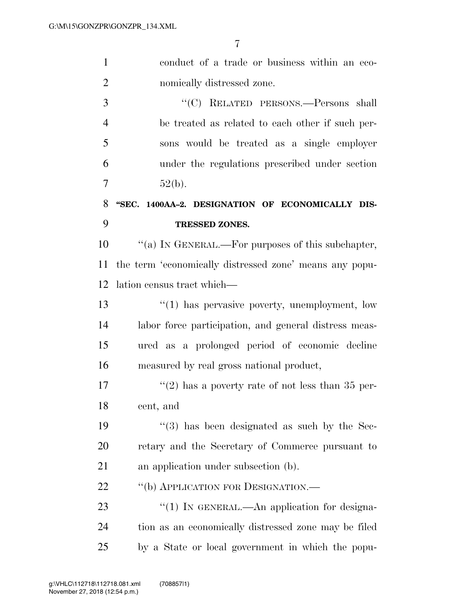| $\mathbf{1}$   | conduct of a trade or business within an eco-            |
|----------------|----------------------------------------------------------|
| $\overline{2}$ | nomically distressed zone.                               |
| 3              | "(C) RELATED PERSONS.—Persons shall                      |
| $\overline{4}$ | be treated as related to each other if such per-         |
| 5              | sons would be treated as a single employer               |
| 6              | under the regulations prescribed under section           |
| 7              | 52(b).                                                   |
| 8              | "SEC. 1400AA-2. DESIGNATION OF ECONOMICALLY DIS-         |
| 9              | TRESSED ZONES.                                           |
| 10             | "(a) IN GENERAL.—For purposes of this subchapter,        |
| 11             | the term 'economically distressed zone' means any popu-  |
| 12             | lation census tract which—                               |
| 13             | $\lq(1)$ has pervasive poverty, unemployment, low        |
| 14             | labor force participation, and general distress meas-    |
| 15             | ured as a prolonged period of economic decline           |
| 16             | measured by real gross national product,                 |
| 17             | "(2) has a poverty rate of not less than $35$ per-       |
| 18             | cent, and                                                |
| 19             | $\cdot\cdot$ (3) has been designated as such by the Sec- |
| 20             | retary and the Secretary of Commerce pursuant to         |
| 21             | an application under subsection (b).                     |
| 22             | "(b) APPLICATION FOR DESIGNATION.-                       |
| 23             | " $(1)$ In GENERAL.—An application for designa-          |
| 24             | tion as an economically distressed zone may be filed     |
| 25             | by a State or local government in which the popu-        |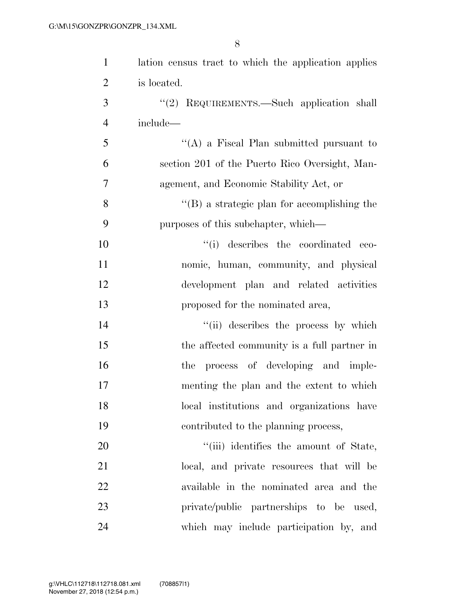| $\mathbf{1}$   | lation census tract to which the application applies |
|----------------|------------------------------------------------------|
| $\overline{2}$ | is located.                                          |
| 3              | "(2) REQUIREMENTS.—Such application shall            |
| $\overline{4}$ | include—                                             |
| 5              | "(A) a Fiscal Plan submitted pursuant to             |
| 6              | section 201 of the Puerto Rico Oversight, Man-       |
| 7              | agement, and Economic Stability Act, or              |
| 8              | $\lq\lq (B)$ a strategic plan for accomplishing the  |
| 9              | purposes of this subchapter, which—                  |
| 10             | "(i) describes the coordinated eco-                  |
| 11             | nomic, human, community, and physical                |
| 12             | development plan and related activities              |
| 13             | proposed for the nominated area,                     |
| 14             | "(ii) describes the process by which                 |
| 15             | the affected community is a full partner in          |
| 16             | the process of developing and imple-                 |
| 17             | menting the plan and the extent to which             |
| 18             | local institutions and organizations have            |
| 19             | contributed to the planning process,                 |
| 20             | "(iii) identifies the amount of State,               |
| 21             | local, and private resources that will be            |
| 22             | available in the nominated area and the              |
| 23             | private/public partnerships to be used,              |
| 24             | which may include participation by, and              |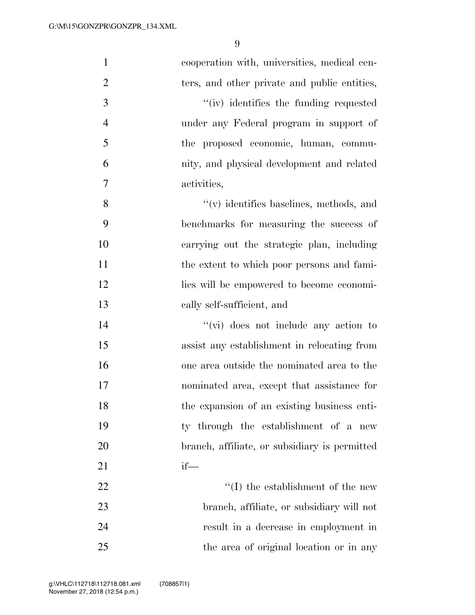| $\mathbf{1}$   | cooperation with, universities, medical cen-  |
|----------------|-----------------------------------------------|
| $\overline{2}$ | ters, and other private and public entities,  |
| 3              | "(iv) identifies the funding requested        |
| $\overline{4}$ | under any Federal program in support of       |
| 5              | the proposed economic, human, commu-          |
| 6              | nity, and physical development and related    |
| 7              | activities,                                   |
| 8              | $\lq\lq$ identifies baselines, methods, and   |
| 9              | benchmarks for measuring the success of       |
| 10             | carrying out the strategic plan, including    |
| 11             | the extent to which poor persons and fami-    |
| 12             | lies will be empowered to become economi-     |
| 13             | cally self-sufficient, and                    |
| 14             | $\lq\lq$ (vi) does not include any action to  |
| 15             | assist any establishment in relocating from   |
| 16             | one area outside the nominated area to the    |
| 17             | nominated area, except that assistance for    |
| 18             | the expansion of an existing business enti-   |
| 19             | ty through the establishment of a new         |
| 20             | branch, affiliate, or subsidiary is permitted |
| 21             | $if$ —                                        |
| 22             | $\lq\lq$ (I) the establishment of the new     |
| 23             | branch, affiliate, or subsidiary will not     |
| 24             | result in a decrease in employment in         |
| 25             | the area of original location or in any       |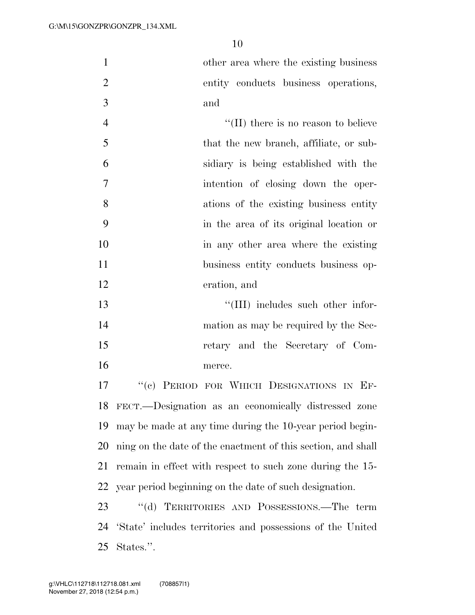other area where the existing business entity conducts business operations, and

4 ''(II) there is no reason to believe that the new branch, affiliate, or sub- sidiary is being established with the intention of closing down the oper- ations of the existing business entity in the area of its original location or in any other area where the existing business entity conducts business op-eration, and

13 ''(III) includes such other infor-14 mation as may be required by the Sec- retary and the Secretary of Com-merce.

 ''(c) PERIOD FOR WHICH DESIGNATIONS IN EF- FECT.—Designation as an economically distressed zone may be made at any time during the 10-year period begin- ning on the date of the enactment of this section, and shall remain in effect with respect to such zone during the 15- year period beginning on the date of such designation.

 ''(d) TERRITORIES AND POSSESSIONS.—The term 'State' includes territories and possessions of the United States.''.